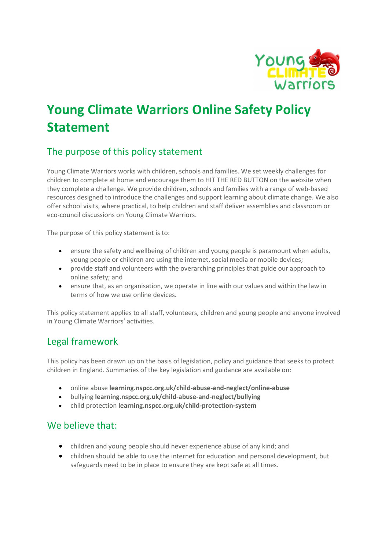

# Young Climate Warriors Online Safety Policy Statement

# The purpose of this policy statement

Young Climate Warriors works with children, schools and families. We set weekly challenges for children to complete at home and encourage them to HIT THE RED BUTTON on the website when they complete a challenge. We provide children, schools and families with a range of web-based resources designed to introduce the challenges and support learning about climate change. We also offer school visits, where practical, to help children and staff deliver assemblies and classroom or eco-council discussions on Young Climate Warriors.

The purpose of this policy statement is to:

- ensure the safety and wellbeing of children and young people is paramount when adults, young people or children are using the internet, social media or mobile devices;
- provide staff and volunteers with the overarching principles that guide our approach to online safety; and
- ensure that, as an organisation, we operate in line with our values and within the law in terms of how we use online devices.

This policy statement applies to all staff, volunteers, children and young people and anyone involved in Young Climate Warriors' activities.

## Legal framework

This policy has been drawn up on the basis of legislation, policy and guidance that seeks to protect children in England. Summaries of the key legislation and guidance are available on:

- online abuse learning.nspcc.org.uk/child-abuse-and-neglect/online-abuse
- bullying learning.nspcc.org.uk/child-abuse-and-neglect/bullying
- child protection learning.nspcc.org.uk/child-protection-system

#### We believe that:

- children and young people should never experience abuse of any kind; and
- children should be able to use the internet for education and personal development, but safeguards need to be in place to ensure they are kept safe at all times.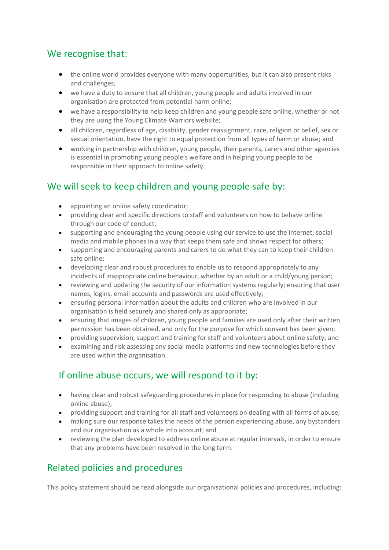#### We recognise that:

- the online world provides everyone with many opportunities, but it can also present risks and challenges;
- we have a duty to ensure that all children, young people and adults involved in our organisation are protected from potential harm online;
- we have a responsibility to help keep children and young people safe online, whether or not they are using the Young Climate Warriors website;
- all children, regardless of age, disability, gender reassignment, race, religion or belief, sex or sexual orientation, have the right to equal protection from all types of harm or abuse; and
- working in partnership with children, young people, their parents, carers and other agencies is essential in promoting young people's welfare and in helping young people to be responsible in their approach to online safety.

# We will seek to keep children and young people safe by:

- appointing an online safety coordinator;
- providing clear and specific directions to staff and volunteers on how to behave online through our code of conduct;
- supporting and encouraging the young people using our service to use the internet, social media and mobile phones in a way that keeps them safe and shows respect for others;
- supporting and encouraging parents and carers to do what they can to keep their children safe online;
- developing clear and robust procedures to enable us to respond appropriately to any incidents of inappropriate online behaviour, whether by an adult or a child/young person;
- reviewing and updating the security of our information systems regularly; ensuring that user names, logins, email accounts and passwords are used effectively;
- ensuring personal information about the adults and children who are involved in our organisation is held securely and shared only as appropriate;
- ensuring that images of children, young people and families are used only after their written permission has been obtained, and only for the purpose for which consent has been given;
- providing supervision, support and training for staff and volunteers about online safety; and
- examining and risk assessing any social media platforms and new technologies before they are used within the organisation.

## If online abuse occurs, we will respond to it by:

- having clear and robust safeguarding procedures in place for responding to abuse (including online abuse);
- providing support and training for all staff and volunteers on dealing with all forms of abuse;
- making sure our response takes the needs of the person experiencing abuse, any bystanders and our organisation as a whole into account; and
- reviewing the plan developed to address online abuse at regular intervals, in order to ensure that any problems have been resolved in the long term.

# Related policies and procedures

This policy statement should be read alongside our organisational policies and procedures, including: